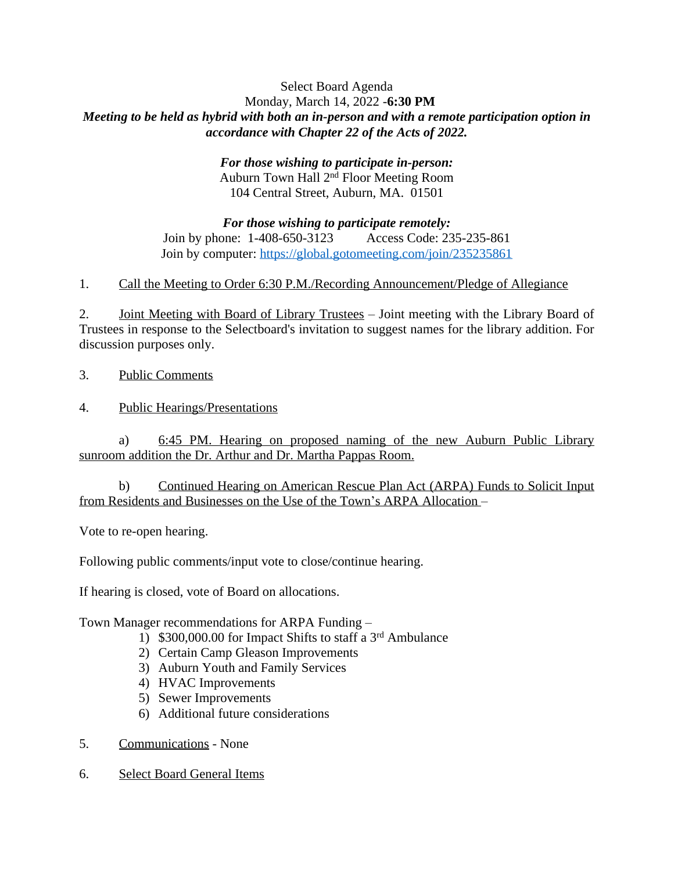## Select Board Agenda Monday, March 14, 2022 -**6:30 PM** *Meeting to be held as hybrid with both an in-person and with a remote participation option in accordance with Chapter 22 of the Acts of 2022.*

## *For those wishing to participate in-person:* Auburn Town Hall 2nd Floor Meeting Room 104 Central Street, Auburn, MA. 01501

*For those wishing to participate remotely:* Join by phone: 1-408-650-3123 Access Code: 235-235-861 Join by computer:<https://global.gotomeeting.com/join/235235861>

1. Call the Meeting to Order 6:30 P.M./Recording Announcement/Pledge of Allegiance

2. Joint Meeting with Board of Library Trustees – Joint meeting with the Library Board of Trustees in response to the Selectboard's invitation to suggest names for the library addition. For discussion purposes only.

- 3. Public Comments
- 4. Public Hearings/Presentations

a) 6:45 PM. Hearing on proposed naming of the new Auburn Public Library sunroom addition the Dr. Arthur and Dr. Martha Pappas Room.

b) Continued Hearing on American Rescue Plan Act (ARPA) Funds to Solicit Input from Residents and Businesses on the Use of the Town's ARPA Allocation –

Vote to re-open hearing.

Following public comments/input vote to close/continue hearing.

If hearing is closed, vote of Board on allocations.

Town Manager recommendations for ARPA Funding –

- 1) \$300,000.00 for Impact Shifts to staff a 3 rd Ambulance
- 2) Certain Camp Gleason Improvements
- 3) Auburn Youth and Family Services
- 4) HVAC Improvements
- 5) Sewer Improvements
- 6) Additional future considerations
- 5. Communications None
- 6. Select Board General Items